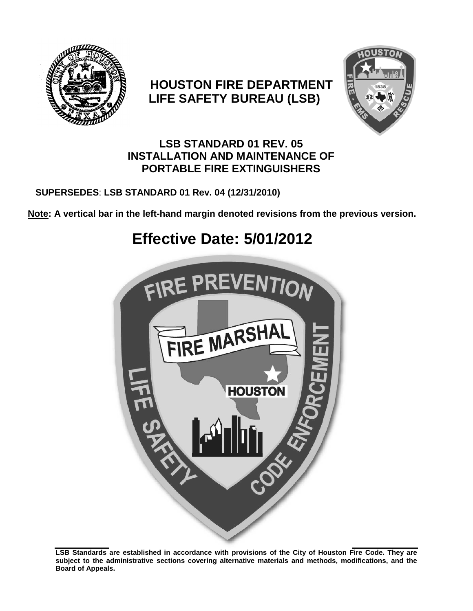

# **HOUSTON FIRE DEPARTMENT LIFE SAFETY BUREAU (LSB)**



# **LSB STANDARD 01 REV. 05 INSTALLATION AND MAINTENANCE OF PORTABLE FIRE EXTINGUISHERS**

# **SUPERSEDES**: **LSB STANDARD 01 Rev. 04 (12/31/2010)**

**Note: A vertical bar in the left-hand margin denoted revisions from the previous version.**

# **Effective Date: 5/01/2012**



**LSB Standards are established in accordance with provisions of the City of Houston Fire Code. They are subject to the administrative sections covering alternative materials and methods, modifications, and the Board of Appeals.**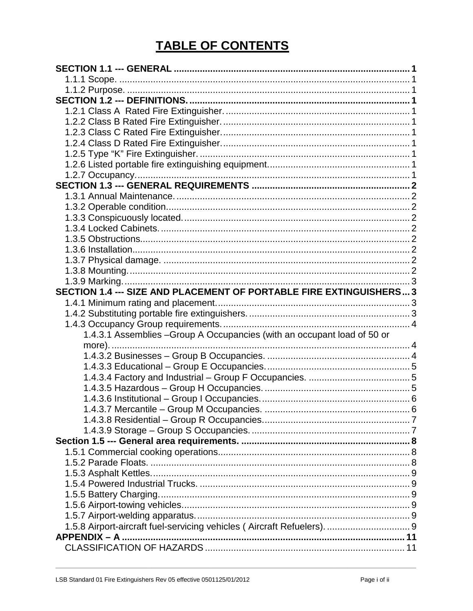# **TABLE OF CONTENTS**

| SECTION 1.4 --- SIZE AND PLACEMENT OF PORTABLE FIRE EXTINGUISHERS 3      |  |
|--------------------------------------------------------------------------|--|
|                                                                          |  |
|                                                                          |  |
|                                                                          |  |
|                                                                          |  |
| 1.4.3.1 Assemblies - Group A Occupancies (with an occupant load of 50 or |  |
|                                                                          |  |
|                                                                          |  |
|                                                                          |  |
|                                                                          |  |
|                                                                          |  |
|                                                                          |  |
|                                                                          |  |
|                                                                          |  |
|                                                                          |  |
|                                                                          |  |
|                                                                          |  |
|                                                                          |  |
|                                                                          |  |
|                                                                          |  |
|                                                                          |  |
|                                                                          |  |
|                                                                          |  |
| 1.5.8 Airport-aircraft fuel-servicing vehicles (Aircraft Refuelers).  9  |  |
|                                                                          |  |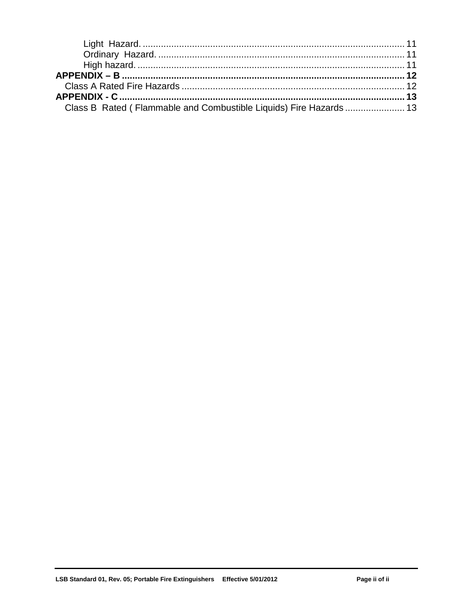| Class B Rated (Flammable and Combustible Liquids) Fire Hazards  13 |  |
|--------------------------------------------------------------------|--|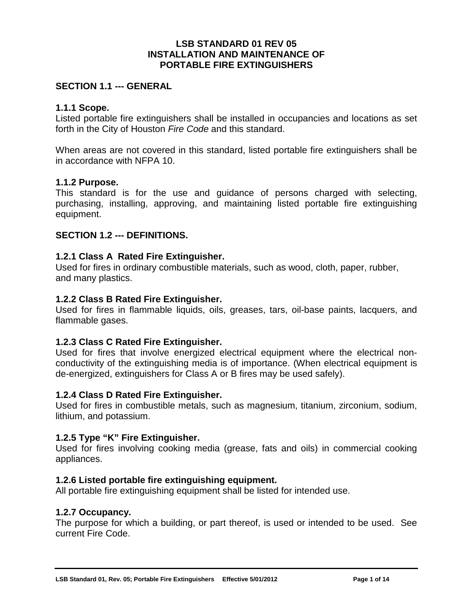#### **LSB STANDARD 01 REV 05 INSTALLATION AND MAINTENANCE OF PORTABLE FIRE EXTINGUISHERS**

#### <span id="page-3-0"></span>**SECTION 1.1 --- GENERAL**

#### <span id="page-3-1"></span>**1.1.1 Scope.**

Listed portable fire extinguishers shall be installed in occupancies and locations as set forth in the City of Houston *Fire Code* and this standard.

When areas are not covered in this standard, listed portable fire extinguishers shall be in accordance with NFPA 10.

#### <span id="page-3-2"></span>**1.1.2 Purpose.**

This standard is for the use and guidance of persons charged with selecting, purchasing, installing, approving, and maintaining listed portable fire extinguishing equipment.

#### <span id="page-3-3"></span>**SECTION 1.2 --- DEFINITIONS.**

#### <span id="page-3-4"></span>**1.2.1 Class A Rated Fire Extinguisher.**

Used for fires in ordinary combustible materials, such as wood, cloth, paper, rubber, and many plastics.

#### <span id="page-3-5"></span>**1.2.2 Class B Rated Fire Extinguisher.**

Used for fires in flammable liquids, oils, greases, tars, oil-base paints, lacquers, and flammable gases.

#### <span id="page-3-6"></span>**1.2.3 Class C Rated Fire Extinguisher.**

Used for fires that involve energized electrical equipment where the electrical nonconductivity of the extinguishing media is of importance. (When electrical equipment is de-energized, extinguishers for Class A or B fires may be used safely).

#### <span id="page-3-7"></span>**1.2.4 Class D Rated Fire Extinguisher.**

Used for fires in combustible metals, such as magnesium, titanium, zirconium, sodium, lithium, and potassium.

#### <span id="page-3-8"></span>**1.2.5 Type "K" Fire Extinguisher.**

Used for fires involving cooking media (grease, fats and oils) in commercial cooking appliances.

#### <span id="page-3-9"></span>**1.2.6 Listed portable fire extinguishing equipment.**

All portable fire extinguishing equipment shall be listed for intended use.

#### <span id="page-3-10"></span>**1.2.7 Occupancy.**

The purpose for which a building, or part thereof, is used or intended to be used. See current Fire Code.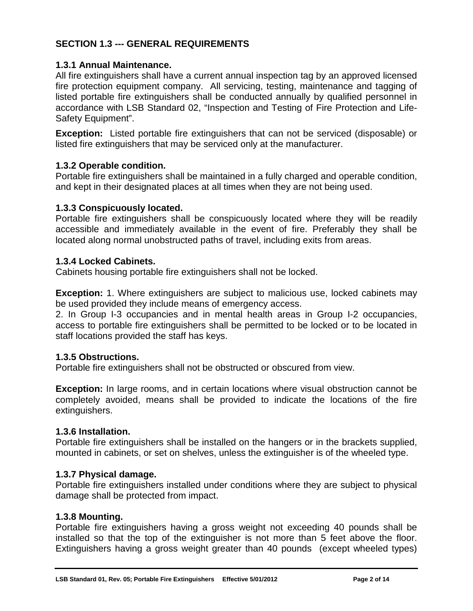# <span id="page-4-0"></span>**SECTION 1.3 --- GENERAL REQUIREMENTS**

#### <span id="page-4-1"></span>**1.3.1 Annual Maintenance.**

All fire extinguishers shall have a current annual inspection tag by an approved licensed fire protection equipment company. All servicing, testing, maintenance and tagging of listed portable fire extinguishers shall be conducted annually by qualified personnel in accordance with LSB Standard 02, "Inspection and Testing of Fire Protection and Life-Safety Equipment".

**Exception:** Listed portable fire extinguishers that can not be serviced (disposable) or listed fire extinguishers that may be serviced only at the manufacturer.

#### <span id="page-4-2"></span>**1.3.2 Operable condition.**

Portable fire extinguishers shall be maintained in a fully charged and operable condition, and kept in their designated places at all times when they are not being used.

#### <span id="page-4-3"></span>**1.3.3 Conspicuously located.**

Portable fire extinguishers shall be conspicuously located where they will be readily accessible and immediately available in the event of fire. Preferably they shall be located along normal unobstructed paths of travel, including exits from areas.

#### <span id="page-4-4"></span>**1.3.4 Locked Cabinets.**

Cabinets housing portable fire extinguishers shall not be locked.

**Exception:** 1. Where extinguishers are subject to malicious use, locked cabinets may be used provided they include means of emergency access.

2. In Group I-3 occupancies and in mental health areas in Group I-2 occupancies, access to portable fire extinguishers shall be permitted to be locked or to be located in staff locations provided the staff has keys.

#### <span id="page-4-5"></span>**1.3.5 Obstructions.**

Portable fire extinguishers shall not be obstructed or obscured from view.

**Exception:** In large rooms, and in certain locations where visual obstruction cannot be completely avoided, means shall be provided to indicate the locations of the fire extinguishers.

#### <span id="page-4-6"></span>**1.3.6 Installation.**

Portable fire extinguishers shall be installed on the hangers or in the brackets supplied, mounted in cabinets, or set on shelves, unless the extinguisher is of the wheeled type.

#### <span id="page-4-7"></span>**1.3.7 Physical damage.**

Portable fire extinguishers installed under conditions where they are subject to physical damage shall be protected from impact.

#### <span id="page-4-8"></span>**1.3.8 Mounting.**

Portable fire extinguishers having a gross weight not exceeding 40 pounds shall be installed so that the top of the extinguisher is not more than 5 feet above the floor. Extinguishers having a gross weight greater than 40 pounds (except wheeled types)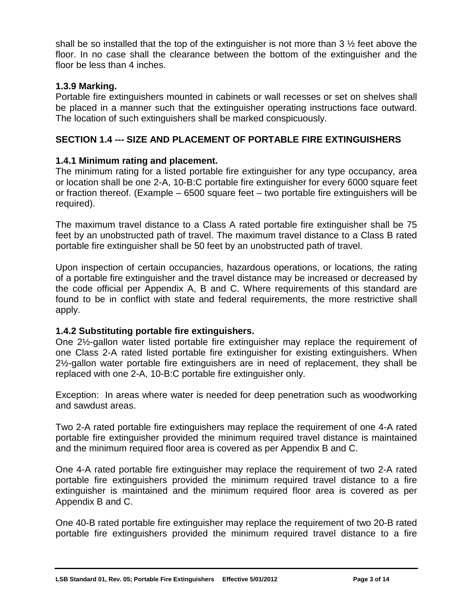shall be so installed that the top of the extinguisher is not more than 3  $\frac{1}{2}$  feet above the floor. In no case shall the clearance between the bottom of the extinguisher and the floor be less than 4 inches.

## <span id="page-5-0"></span>**1.3.9 Marking.**

Portable fire extinguishers mounted in cabinets or wall recesses or set on shelves shall be placed in a manner such that the extinguisher operating instructions face outward. The location of such extinguishers shall be marked conspicuously.

# <span id="page-5-1"></span>**SECTION 1.4 --- SIZE AND PLACEMENT OF PORTABLE FIRE EXTINGUISHERS**

# <span id="page-5-2"></span>**1.4.1 Minimum rating and placement.**

The minimum rating for a listed portable fire extinguisher for any type occupancy, area or location shall be one 2-A, 10-B:C portable fire extinguisher for every 6000 square feet or fraction thereof. (Example – 6500 square feet – two portable fire extinguishers will be required).

The maximum travel distance to a Class A rated portable fire extinguisher shall be 75 feet by an unobstructed path of travel. The maximum travel distance to a Class B rated portable fire extinguisher shall be 50 feet by an unobstructed path of travel.

Upon inspection of certain occupancies, hazardous operations, or locations, the rating of a portable fire extinguisher and the travel distance may be increased or decreased by the code official per Appendix A, B and C. Where requirements of this standard are found to be in conflict with state and federal requirements, the more restrictive shall apply.

#### <span id="page-5-3"></span>**1.4.2 Substituting portable fire extinguishers.**

One 2½-gallon water listed portable fire extinguisher may replace the requirement of one Class 2-A rated listed portable fire extinguisher for existing extinguishers. When 2½-gallon water portable fire extinguishers are in need of replacement, they shall be replaced with one 2-A, 10-B:C portable fire extinguisher only.

Exception: In areas where water is needed for deep penetration such as woodworking and sawdust areas.

Two 2-A rated portable fire extinguishers may replace the requirement of one 4-A rated portable fire extinguisher provided the minimum required travel distance is maintained and the minimum required floor area is covered as per Appendix B and C.

One 4-A rated portable fire extinguisher may replace the requirement of two 2-A rated portable fire extinguishers provided the minimum required travel distance to a fire extinguisher is maintained and the minimum required floor area is covered as per Appendix B and C.

One 40-B rated portable fire extinguisher may replace the requirement of two 20-B rated portable fire extinguishers provided the minimum required travel distance to a fire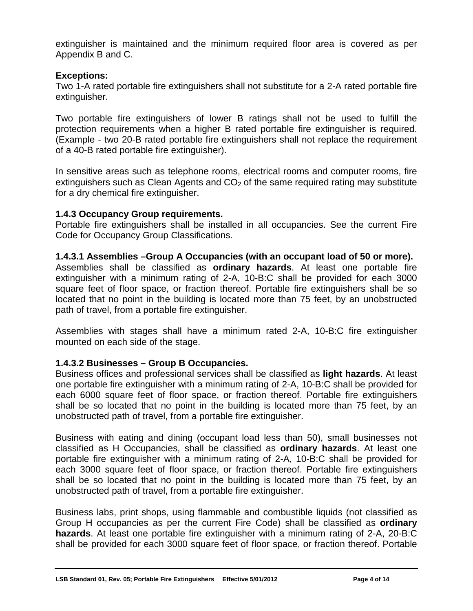extinguisher is maintained and the minimum required floor area is covered as per Appendix B and C.

#### **Exceptions:**

Two 1-A rated portable fire extinguishers shall not substitute for a 2-A rated portable fire extinguisher.

Two portable fire extinguishers of lower B ratings shall not be used to fulfill the protection requirements when a higher B rated portable fire extinguisher is required. (Example - two 20-B rated portable fire extinguishers shall not replace the requirement of a 40-B rated portable fire extinguisher).

In sensitive areas such as telephone rooms, electrical rooms and computer rooms, fire extinguishers such as Clean Agents and  $CO<sub>2</sub>$  of the same required rating may substitute for a dry chemical fire extinguisher.

#### <span id="page-6-0"></span>**1.4.3 Occupancy Group requirements.**

Portable fire extinguishers shall be installed in all occupancies. See the current Fire Code for Occupancy Group Classifications.

#### <span id="page-6-1"></span>**1.4.3.1 Assemblies –Group A Occupancies (with an occupant load of 50 or more).**

Assemblies shall be classified as **ordinary hazards**. At least one portable fire extinguisher with a minimum rating of 2-A, 10-B:C shall be provided for each 3000 square feet of floor space, or fraction thereof. Portable fire extinguishers shall be so located that no point in the building is located more than 75 feet, by an unobstructed path of travel, from a portable fire extinguisher.

Assemblies with stages shall have a minimum rated 2-A, 10-B:C fire extinguisher mounted on each side of the stage.

# <span id="page-6-2"></span>**1.4.3.2 Businesses – Group B Occupancies.**

Business offices and professional services shall be classified as **light hazards**. At least one portable fire extinguisher with a minimum rating of 2-A, 10-B:C shall be provided for each 6000 square feet of floor space, or fraction thereof. Portable fire extinguishers shall be so located that no point in the building is located more than 75 feet, by an unobstructed path of travel, from a portable fire extinguisher.

Business with eating and dining (occupant load less than 50), small businesses not classified as H Occupancies, shall be classified as **ordinary hazards**. At least one portable fire extinguisher with a minimum rating of 2-A, 10-B:C shall be provided for each 3000 square feet of floor space, or fraction thereof. Portable fire extinguishers shall be so located that no point in the building is located more than 75 feet, by an unobstructed path of travel, from a portable fire extinguisher.

Business labs, print shops, using flammable and combustible liquids (not classified as Group H occupancies as per the current Fire Code) shall be classified as **ordinary hazards**. At least one portable fire extinguisher with a minimum rating of 2-A, 20-B:C shall be provided for each 3000 square feet of floor space, or fraction thereof. Portable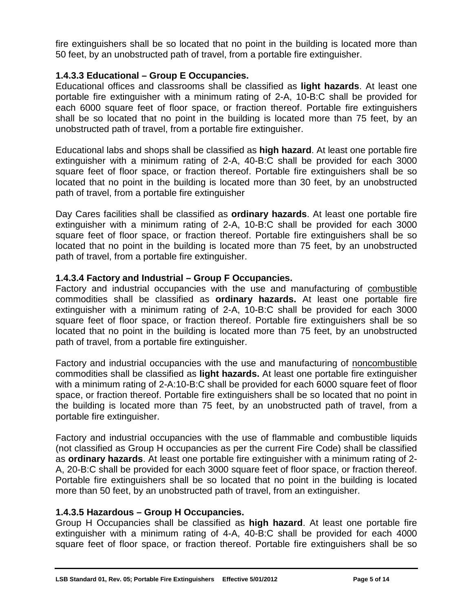fire extinguishers shall be so located that no point in the building is located more than 50 feet, by an unobstructed path of travel, from a portable fire extinguisher.

### <span id="page-7-0"></span>**1.4.3.3 Educational – Group E Occupancies.**

Educational offices and classrooms shall be classified as **light hazards**. At least one portable fire extinguisher with a minimum rating of 2-A, 10-B:C shall be provided for each 6000 square feet of floor space, or fraction thereof. Portable fire extinguishers shall be so located that no point in the building is located more than 75 feet, by an unobstructed path of travel, from a portable fire extinguisher.

Educational labs and shops shall be classified as **high hazard**. At least one portable fire extinguisher with a minimum rating of 2-A, 40-B:C shall be provided for each 3000 square feet of floor space, or fraction thereof. Portable fire extinguishers shall be so located that no point in the building is located more than 30 feet, by an unobstructed path of travel, from a portable fire extinguisher

Day Cares facilities shall be classified as **ordinary hazards**. At least one portable fire extinguisher with a minimum rating of 2-A, 10-B:C shall be provided for each 3000 square feet of floor space, or fraction thereof. Portable fire extinguishers shall be so located that no point in the building is located more than 75 feet, by an unobstructed path of travel, from a portable fire extinguisher.

#### <span id="page-7-1"></span>**1.4.3.4 Factory and Industrial – Group F Occupancies.**

Factory and industrial occupancies with the use and manufacturing of combustible commodities shall be classified as **ordinary hazards.** At least one portable fire extinguisher with a minimum rating of 2-A, 10-B:C shall be provided for each 3000 square feet of floor space, or fraction thereof. Portable fire extinguishers shall be so located that no point in the building is located more than 75 feet, by an unobstructed path of travel, from a portable fire extinguisher.

Factory and industrial occupancies with the use and manufacturing of noncombustible commodities shall be classified as **light hazards.** At least one portable fire extinguisher with a minimum rating of 2-A:10-B:C shall be provided for each 6000 square feet of floor space, or fraction thereof. Portable fire extinguishers shall be so located that no point in the building is located more than 75 feet, by an unobstructed path of travel, from a portable fire extinguisher.

Factory and industrial occupancies with the use of flammable and combustible liquids (not classified as Group H occupancies as per the current Fire Code) shall be classified as **ordinary hazards**. At least one portable fire extinguisher with a minimum rating of 2- A, 20-B:C shall be provided for each 3000 square feet of floor space, or fraction thereof. Portable fire extinguishers shall be so located that no point in the building is located more than 50 feet, by an unobstructed path of travel, from an extinguisher.

#### <span id="page-7-2"></span>**1.4.3.5 Hazardous – Group H Occupancies.**

Group H Occupancies shall be classified as **high hazard**. At least one portable fire extinguisher with a minimum rating of 4-A, 40-B:C shall be provided for each 4000 square feet of floor space, or fraction thereof. Portable fire extinguishers shall be so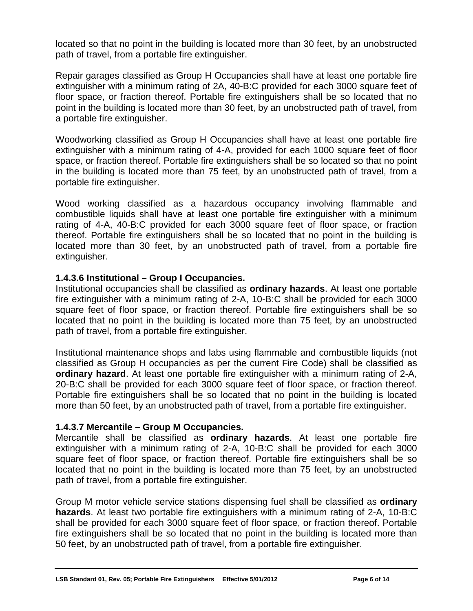located so that no point in the building is located more than 30 feet, by an unobstructed path of travel, from a portable fire extinguisher.

Repair garages classified as Group H Occupancies shall have at least one portable fire extinguisher with a minimum rating of 2A, 40-B:C provided for each 3000 square feet of floor space, or fraction thereof. Portable fire extinguishers shall be so located that no point in the building is located more than 30 feet, by an unobstructed path of travel, from a portable fire extinguisher.

Woodworking classified as Group H Occupancies shall have at least one portable fire extinguisher with a minimum rating of 4-A, provided for each 1000 square feet of floor space, or fraction thereof. Portable fire extinguishers shall be so located so that no point in the building is located more than 75 feet, by an unobstructed path of travel, from a portable fire extinguisher.

Wood working classified as a hazardous occupancy involving flammable and combustible liquids shall have at least one portable fire extinguisher with a minimum rating of 4-A, 40-B:C provided for each 3000 square feet of floor space, or fraction thereof. Portable fire extinguishers shall be so located that no point in the building is located more than 30 feet, by an unobstructed path of travel, from a portable fire extinguisher.

#### <span id="page-8-0"></span>**1.4.3.6 Institutional – Group I Occupancies.**

Institutional occupancies shall be classified as **ordinary hazards**. At least one portable fire extinguisher with a minimum rating of 2-A, 10-B:C shall be provided for each 3000 square feet of floor space, or fraction thereof. Portable fire extinguishers shall be so located that no point in the building is located more than 75 feet, by an unobstructed path of travel, from a portable fire extinguisher.

Institutional maintenance shops and labs using flammable and combustible liquids (not classified as Group H occupancies as per the current Fire Code) shall be classified as **ordinary hazard**. At least one portable fire extinguisher with a minimum rating of 2-A, 20-B:C shall be provided for each 3000 square feet of floor space, or fraction thereof. Portable fire extinguishers shall be so located that no point in the building is located more than 50 feet, by an unobstructed path of travel, from a portable fire extinguisher.

#### <span id="page-8-1"></span>**1.4.3.7 Mercantile – Group M Occupancies.**

Mercantile shall be classified as **ordinary hazards**. At least one portable fire extinguisher with a minimum rating of 2-A, 10-B:C shall be provided for each 3000 square feet of floor space, or fraction thereof. Portable fire extinguishers shall be so located that no point in the building is located more than 75 feet, by an unobstructed path of travel, from a portable fire extinguisher.

Group M motor vehicle service stations dispensing fuel shall be classified as **ordinary hazards**. At least two portable fire extinguishers with a minimum rating of 2-A, 10-B:C shall be provided for each 3000 square feet of floor space, or fraction thereof. Portable fire extinguishers shall be so located that no point in the building is located more than 50 feet, by an unobstructed path of travel, from a portable fire extinguisher.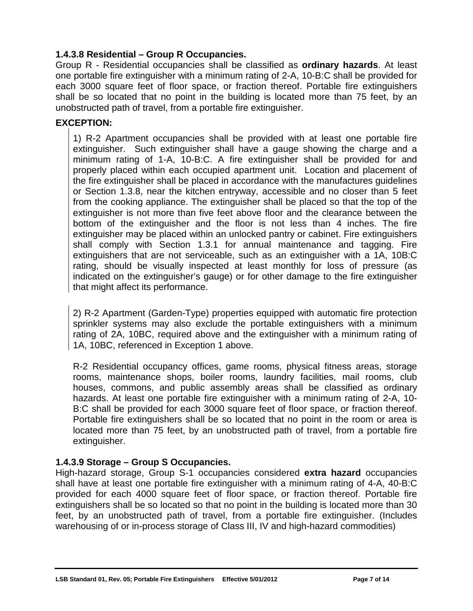# <span id="page-9-0"></span>**1.4.3.8 Residential – Group R Occupancies.**

Group R - Residential occupancies shall be classified as **ordinary hazards**. At least one portable fire extinguisher with a minimum rating of 2-A, 10-B:C shall be provided for each 3000 square feet of floor space, or fraction thereof. Portable fire extinguishers shall be so located that no point in the building is located more than 75 feet, by an unobstructed path of travel, from a portable fire extinguisher.

#### **EXCEPTION:**

1) R-2 Apartment occupancies shall be provided with at least one portable fire extinguisher. Such extinguisher shall have a gauge showing the charge and a minimum rating of 1-A, 10-B:C. A fire extinguisher shall be provided for and properly placed within each occupied apartment unit. Location and placement of the fire extinguisher shall be placed in accordance with the manufactures guidelines or Section 1.3.8, near the kitchen entryway, accessible and no closer than 5 feet from the cooking appliance. The extinguisher shall be placed so that the top of the extinguisher is not more than five feet above floor and the clearance between the bottom of the extinguisher and the floor is not less than 4 inches. The fire extinguisher may be placed within an unlocked pantry or cabinet. Fire extinguishers shall comply with Section 1.3.1 for annual maintenance and tagging. Fire extinguishers that are not serviceable, such as an extinguisher with a 1A, 10B:C rating, should be visually inspected at least monthly for loss of pressure (as indicated on the extinguisher's gauge) or for other damage to the fire extinguisher that might affect its performance.

2) R-2 Apartment (Garden-Type) properties equipped with automatic fire protection sprinkler systems may also exclude the portable extinguishers with a minimum rating of 2A, 10BC, required above and the extinguisher with a minimum rating of 1A, 10BC, referenced in Exception 1 above.

R-2 Residential occupancy offices, game rooms, physical fitness areas, storage rooms, maintenance shops, boiler rooms, laundry facilities, mail rooms, club houses, commons, and public assembly areas shall be classified as ordinary hazards. At least one portable fire extinguisher with a minimum rating of 2-A, 10- B:C shall be provided for each 3000 square feet of floor space, or fraction thereof. Portable fire extinguishers shall be so located that no point in the room or area is located more than 75 feet, by an unobstructed path of travel, from a portable fire extinguisher.

#### <span id="page-9-1"></span>**1.4.3.9 Storage – Group S Occupancies.**

High-hazard storage, Group S-1 occupancies considered **extra hazard** occupancies shall have at least one portable fire extinguisher with a minimum rating of 4-A, 40-B:C provided for each 4000 square feet of floor space, or fraction thereof. Portable fire extinguishers shall be so located so that no point in the building is located more than 30 feet, by an unobstructed path of travel, from a portable fire extinguisher. (Includes warehousing of or in-process storage of Class III, IV and high-hazard commodities)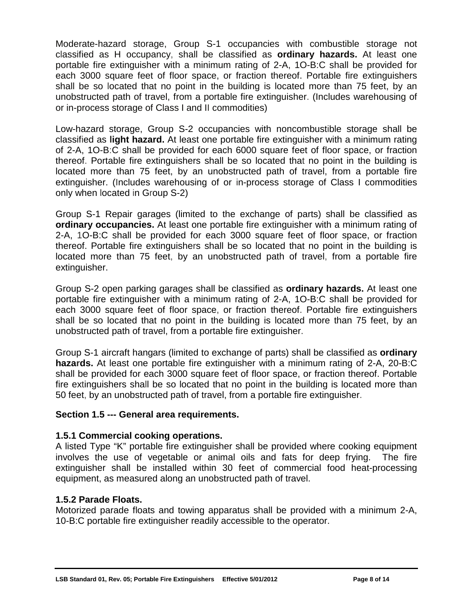Moderate-hazard storage, Group S-1 occupancies with combustible storage not classified as H occupancy, shall be classified as **ordinary hazards.** At least one portable fire extinguisher with a minimum rating of 2-A, 1O-B:C shall be provided for each 3000 square feet of floor space, or fraction thereof. Portable fire extinguishers shall be so located that no point in the building is located more than 75 feet, by an unobstructed path of travel, from a portable fire extinguisher. (Includes warehousing of or in-process storage of Class I and II commodities)

Low-hazard storage, Group S-2 occupancies with noncombustible storage shall be classified as **light hazard.** At least one portable fire extinguisher with a minimum rating of 2-A, 1O-B:C shall be provided for each 6000 square feet of floor space, or fraction thereof. Portable fire extinguishers shall be so located that no point in the building is located more than 75 feet, by an unobstructed path of travel, from a portable fire extinguisher. (Includes warehousing of or in-process storage of Class I commodities only when located in Group S-2)

Group S-1 Repair garages (limited to the exchange of parts) shall be classified as **ordinary occupancies.** At least one portable fire extinguisher with a minimum rating of 2-A, 1O-B:C shall be provided for each 3000 square feet of floor space, or fraction thereof. Portable fire extinguishers shall be so located that no point in the building is located more than 75 feet, by an unobstructed path of travel, from a portable fire extinguisher.

Group S-2 open parking garages shall be classified as **ordinary hazards.** At least one portable fire extinguisher with a minimum rating of 2-A, 1O-B:C shall be provided for each 3000 square feet of floor space, or fraction thereof. Portable fire extinguishers shall be so located that no point in the building is located more than 75 feet, by an unobstructed path of travel, from a portable fire extinguisher.

Group S-1 aircraft hangars (limited to exchange of parts) shall be classified as **ordinary hazards.** At least one portable fire extinguisher with a minimum rating of 2-A, 20-B:C shall be provided for each 3000 square feet of floor space, or fraction thereof. Portable fire extinguishers shall be so located that no point in the building is located more than 50 feet, by an unobstructed path of travel, from a portable fire extinguisher.

#### <span id="page-10-0"></span>**Section 1.5 --- General area requirements.**

#### <span id="page-10-1"></span>**1.5.1 Commercial cooking operations.**

A listed Type "K" portable fire extinguisher shall be provided where cooking equipment involves the use of vegetable or animal oils and fats for deep frying. The fire extinguisher shall be installed within 30 feet of commercial food heat-processing equipment, as measured along an unobstructed path of travel.

# <span id="page-10-2"></span>**1.5.2 Parade Floats.**

Motorized parade floats and towing apparatus shall be provided with a minimum 2-A, 10-B:C portable fire extinguisher readily accessible to the operator.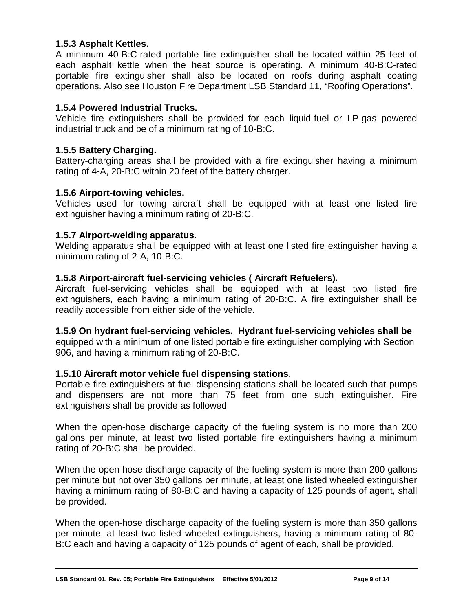#### <span id="page-11-0"></span>**1.5.3 Asphalt Kettles.**

A minimum 40-B:C-rated portable fire extinguisher shall be located within 25 feet of each asphalt kettle when the heat source is operating. A minimum 40-B:C-rated portable fire extinguisher shall also be located on roofs during asphalt coating operations. Also see Houston Fire Department LSB Standard 11, "Roofing Operations".

#### <span id="page-11-1"></span>**1.5.4 Powered Industrial Trucks.**

Vehicle fire extinguishers shall be provided for each liquid-fuel or LP-gas powered industrial truck and be of a minimum rating of 10-B:C.

#### <span id="page-11-2"></span>**1.5.5 Battery Charging.**

Battery-charging areas shall be provided with a fire extinguisher having a minimum rating of 4-A, 20-B:C within 20 feet of the battery charger.

#### <span id="page-11-3"></span>**1.5.6 Airport-towing vehicles.**

Vehicles used for towing aircraft shall be equipped with at least one listed fire extinguisher having a minimum rating of 20-B:C.

#### <span id="page-11-4"></span>**1.5.7 Airport-welding apparatus.**

Welding apparatus shall be equipped with at least one listed fire extinguisher having a minimum rating of 2-A, 10-B:C.

#### <span id="page-11-5"></span>**1.5.8 Airport-aircraft fuel-servicing vehicles ( Aircraft Refuelers).**

Aircraft fuel-servicing vehicles shall be equipped with at least two listed fire extinguishers, each having a minimum rating of 20-B:C. A fire extinguisher shall be readily accessible from either side of the vehicle.

**1.5.9 On hydrant fuel-servicing vehicles. Hydrant fuel-servicing vehicles shall be**

equipped with a minimum of one listed portable fire extinguisher complying with Section 906, and having a minimum rating of 20-B:C.

#### **1.5.10 Aircraft motor vehicle fuel dispensing stations**.

Portable fire extinguishers at fuel-dispensing stations shall be located such that pumps and dispensers are not more than 75 feet from one such extinguisher. Fire extinguishers shall be provide as followed

When the open-hose discharge capacity of the fueling system is no more than 200 gallons per minute, at least two listed portable fire extinguishers having a minimum rating of 20-B:C shall be provided.

When the open-hose discharge capacity of the fueling system is more than 200 gallons per minute but not over 350 gallons per minute, at least one listed wheeled extinguisher having a minimum rating of 80-B:C and having a capacity of 125 pounds of agent, shall be provided.

When the open-hose discharge capacity of the fueling system is more than 350 gallons per minute, at least two listed wheeled extinguishers, having a minimum rating of 80- B:C each and having a capacity of 125 pounds of agent of each, shall be provided.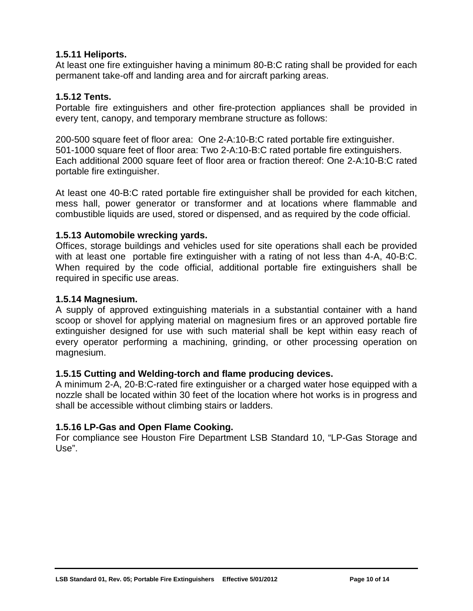#### **1.5.11 Heliports.**

At least one fire extinguisher having a minimum 80-B:C rating shall be provided for each permanent take-off and landing area and for aircraft parking areas.

#### **1.5.12 Tents.**

Portable fire extinguishers and other fire-protection appliances shall be provided in every tent, canopy, and temporary membrane structure as follows:

200-500 square feet of floor area: One 2-A:10-B:C rated portable fire extinguisher. 501-1000 square feet of floor area: Two 2-A:10-B:C rated portable fire extinguishers. Each additional 2000 square feet of floor area or fraction thereof: One 2-A:10-B:C rated portable fire extinguisher.

At least one 40-B:C rated portable fire extinguisher shall be provided for each kitchen, mess hall, power generator or transformer and at locations where flammable and combustible liquids are used, stored or dispensed, and as required by the code official.

#### **1.5.13 Automobile wrecking yards.**

Offices, storage buildings and vehicles used for site operations shall each be provided with at least one portable fire extinguisher with a rating of not less than 4-A, 40-B:C. When required by the code official, additional portable fire extinguishers shall be required in specific use areas.

#### **1.5.14 Magnesium.**

A supply of approved extinguishing materials in a substantial container with a hand scoop or shovel for applying material on magnesium fires or an approved portable fire extinguisher designed for use with such material shall be kept within easy reach of every operator performing a machining, grinding, or other processing operation on magnesium.

#### **1.5.15 Cutting and Welding-torch and flame producing devices.**

A minimum 2-A, 20-B:C-rated fire extinguisher or a charged water hose equipped with a nozzle shall be located within 30 feet of the location where hot works is in progress and shall be accessible without climbing stairs or ladders.

#### **1.5.16 LP-Gas and Open Flame Cooking.**

For compliance see Houston Fire Department LSB Standard 10, "LP-Gas Storage and Use".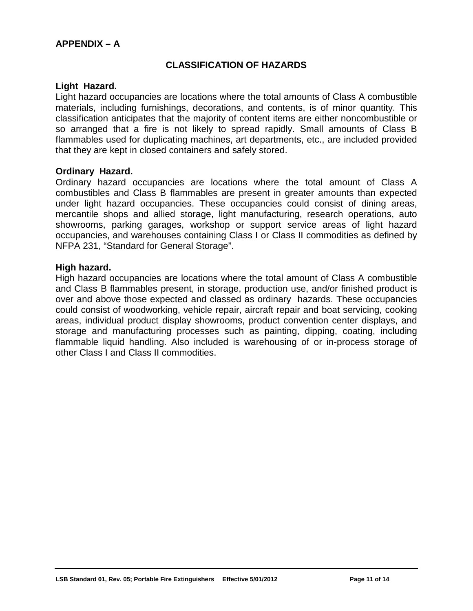#### <span id="page-13-1"></span><span id="page-13-0"></span>**APPENDIX – A**

#### **CLASSIFICATION OF HAZARDS**

#### <span id="page-13-2"></span>**Light Hazard.**

Light hazard occupancies are locations where the total amounts of Class A combustible materials, including furnishings, decorations, and contents, is of minor quantity. This classification anticipates that the majority of content items are either noncombustible or so arranged that a fire is not likely to spread rapidly. Small amounts of Class B flammables used for duplicating machines, art departments, etc., are included provided that they are kept in closed containers and safely stored.

#### <span id="page-13-3"></span>**Ordinary Hazard.**

Ordinary hazard occupancies are locations where the total amount of Class A combustibles and Class B flammables are present in greater amounts than expected under light hazard occupancies. These occupancies could consist of dining areas, mercantile shops and allied storage, light manufacturing, research operations, auto showrooms, parking garages, workshop or support service areas of light hazard occupancies, and warehouses containing Class I or Class II commodities as defined by NFPA 231, "Standard for General Storage".

#### <span id="page-13-4"></span>**High hazard.**

<span id="page-13-5"></span>High hazard occupancies are locations where the total amount of Class A combustible and Class B flammables present, in storage, production use, and/or finished product is over and above those expected and classed as ordinary hazards. These occupancies could consist of woodworking, vehicle repair, aircraft repair and boat servicing, cooking areas, individual product display showrooms, product convention center displays, and storage and manufacturing processes such as painting, dipping, coating, including flammable liquid handling. Also included is warehousing of or in-process storage of other Class I and Class II commodities.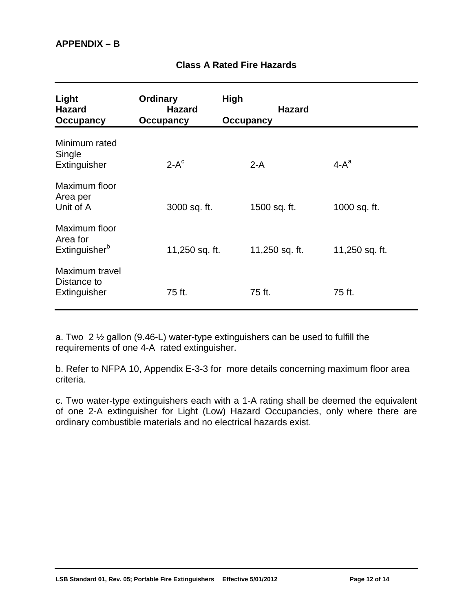<span id="page-14-0"></span>

| Light<br><b>Hazard</b><br><b>Occupancy</b>             | <b>Ordinary</b><br><b>Hazard</b><br>Occupancy | <b>High</b><br><b>Occupancy</b> | <b>Hazard</b>  |                |
|--------------------------------------------------------|-----------------------------------------------|---------------------------------|----------------|----------------|
| Minimum rated<br>Single<br>Extinguisher                | $2-Ac$                                        | $2-A$                           |                | $4-A^a$        |
| Maximum floor<br>Area per<br>Unit of A                 | 3000 sq. ft.                                  | 1500 sq. ft.                    |                | 1000 sq. ft.   |
| Maximum floor<br>Area for<br>Extinguisher <sup>b</sup> | 11,250 sq. ft.                                |                                 | 11,250 sq. ft. | 11,250 sq. ft. |
| Maximum travel<br>Distance to<br>Extinguisher          | 75 ft.                                        | 75 ft.                          |                | 75 ft.         |

# **Class A Rated Fire Hazards**

a. Two  $2 \frac{1}{2}$  gallon (9.46-L) water-type extinguishers can be used to fulfill the requirements of one 4-A rated extinguisher.

b. Refer to NFPA 10, Appendix E-3-3 for more details concerning maximum floor area criteria.

<span id="page-14-1"></span>c. Two water-type extinguishers each with a 1-A rating shall be deemed the equivalent of one 2-A extinguisher for Light (Low) Hazard Occupancies, only where there are ordinary combustible materials and no electrical hazards exist.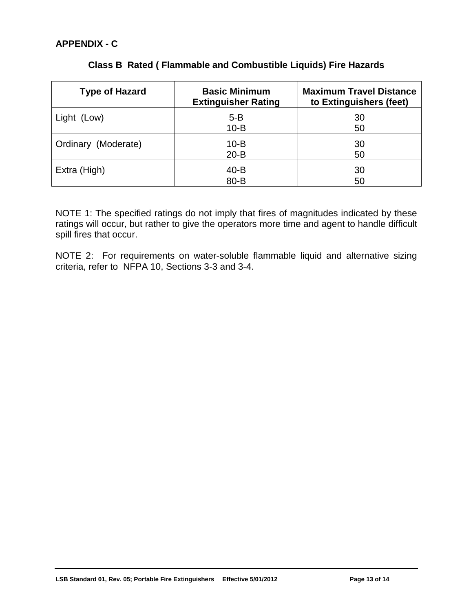<span id="page-15-0"></span>

| <b>Type of Hazard</b> | <b>Basic Minimum</b><br><b>Extinguisher Rating</b> | <b>Maximum Travel Distance</b><br>to Extinguishers (feet) |
|-----------------------|----------------------------------------------------|-----------------------------------------------------------|
| Light (Low)           | $5 - B$<br>$10 - B$                                | 30<br>50                                                  |
| Ordinary (Moderate)   | $10 - B$<br>$20 - B$                               | 30<br>50                                                  |
| Extra (High)          | $40 - B$<br>80-B                                   | 30<br>50                                                  |

# **Class B Rated ( Flammable and Combustible Liquids) Fire Hazards**

NOTE 1: The specified ratings do not imply that fires of magnitudes indicated by these ratings will occur, but rather to give the operators more time and agent to handle difficult spill fires that occur.

NOTE 2: For requirements on water-soluble flammable liquid and alternative sizing criteria, refer to NFPA 10, Sections 3-3 and 3-4.